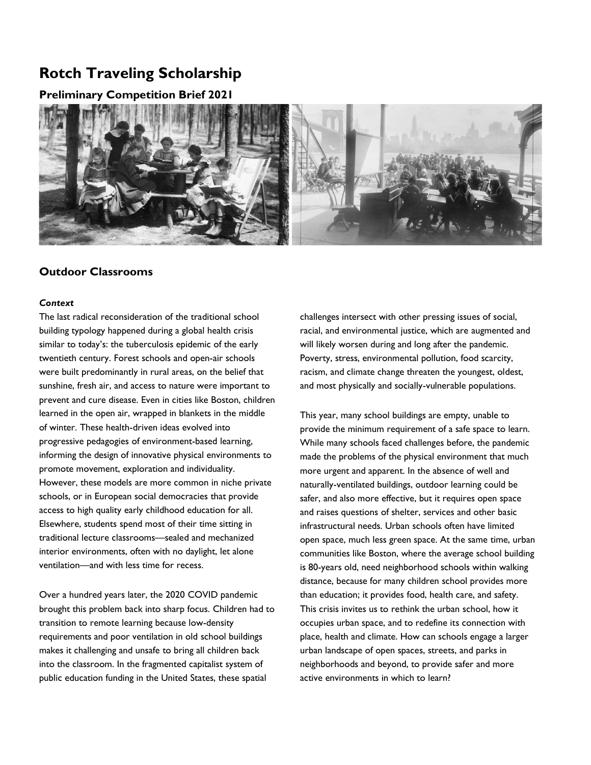# **Rotch Traveling Scholarship**

# **Preliminary Competition Brief 2021**



# **Outdoor Classrooms**

### *Context*

The last radical reconsideration of the traditional school building typology happened during a global health crisis similar to today's: the tuberculosis epidemic of the early twentieth century. Forest schools and open-air schools were built predominantly in rural areas, on the belief that sunshine, fresh air, and access to nature were important to prevent and cure disease. Even in cities like Boston, children learned in the open air, wrapped in blankets in the middle of winter. These health-driven ideas evolved into progressive pedagogies of environment-based learning, informing the design of innovative physical environments to promote movement, exploration and individuality. However, these models are more common in niche private schools, or in European social democracies that provide access to high quality early childhood education for all. Elsewhere, students spend most of their time sitting in traditional lecture classrooms—sealed and mechanized interior environments, often with no daylight, let alone ventilation—and with less time for recess.

Over a hundred years later, the 2020 COVID pandemic brought this problem back into sharp focus. Children had to transition to remote learning because low-density requirements and poor ventilation in old school buildings makes it challenging and unsafe to bring all children back into the classroom. In the fragmented capitalist system of public education funding in the United States, these spatial

challenges intersect with other pressing issues of social, racial, and environmental justice, which are augmented and will likely worsen during and long after the pandemic. Poverty, stress, environmental pollution, food scarcity, racism, and climate change threaten the youngest, oldest, and most physically and socially-vulnerable populations.

This year, many school buildings are empty, unable to provide the minimum requirement of a safe space to learn. While many schools faced challenges before, the pandemic made the problems of the physical environment that much more urgent and apparent. In the absence of well and naturally-ventilated buildings, outdoor learning could be safer, and also more effective, but it requires open space and raises questions of shelter, services and other basic infrastructural needs. Urban schools often have limited open space, much less green space. At the same time, urban communities like Boston, where the average school building is 80-years old, need neighborhood schools within walking distance, because for many children school provides more than education; it provides food, health care, and safety. This crisis invites us to rethink the urban school, how it occupies urban space, and to redefine its connection with place, health and climate. How can schools engage a larger urban landscape of open spaces, streets, and parks in neighborhoods and beyond, to provide safer and more active environments in which to learn?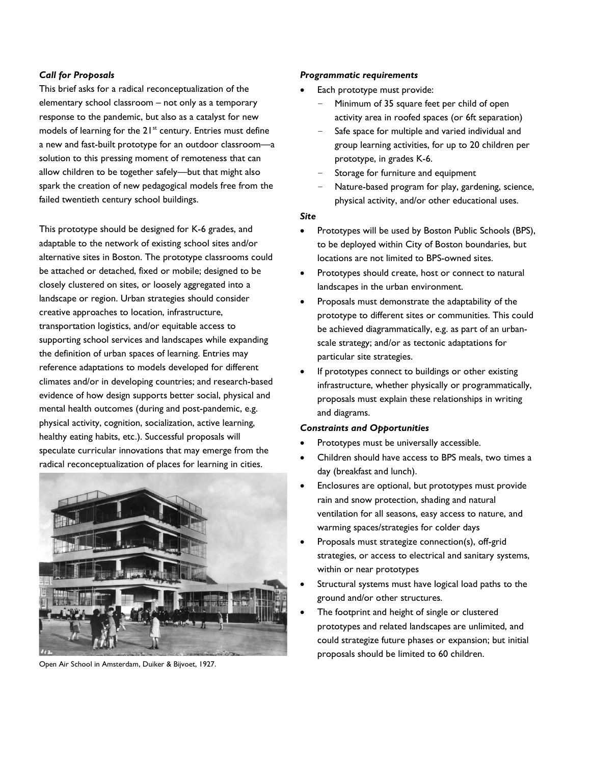## *Call for Proposals*

This brief asks for a radical reconceptualization of the elementary school classroom – not only as a temporary response to the pandemic, but also as a catalyst for new models of learning for the  $21<sup>st</sup>$  century. Entries must define a new and fast-built prototype for an outdoor classroom—a solution to this pressing moment of remoteness that can allow children to be together safely—but that might also spark the creation of new pedagogical models free from the failed twentieth century school buildings.

This prototype should be designed for K-6 grades, and adaptable to the network of existing school sites and/or alternative sites in Boston. The prototype classrooms could be attached or detached, fixed or mobile; designed to be closely clustered on sites, or loosely aggregated into a landscape or region. Urban strategies should consider creative approaches to location, infrastructure, transportation logistics, and/or equitable access to supporting school services and landscapes while expanding the definition of urban spaces of learning. Entries may reference adaptations to models developed for different climates and/or in developing countries; and research-based evidence of how design supports better social, physical and mental health outcomes (during and post-pandemic, e.g. physical activity, cognition, socialization, active learning, healthy eating habits, etc.). Successful proposals will speculate curricular innovations that may emerge from the radical reconceptualization of places for learning in cities.



Open Air School in Amsterdam, Duiker & Bijvoet, 1927.

#### *Programmatic requirements*

- Each prototype must provide:
	- Minimum of 35 square feet per child of open activity area in roofed spaces (or 6ft separation)
	- Safe space for multiple and varied individual and group learning activities, for up to 20 children per prototype, in grades K-6.
	- Storage for furniture and equipment
	- Nature-based program for play, gardening, science, physical activity, and/or other educational uses.

#### *Site*

- Prototypes will be used by Boston Public Schools (BPS), to be deployed within City of Boston boundaries, but locations are not limited to BPS-owned sites.
- Prototypes should create, host or connect to natural landscapes in the urban environment.
- Proposals must demonstrate the adaptability of the prototype to different sites or communities. This could be achieved diagrammatically, e.g. as part of an urbanscale strategy; and/or as tectonic adaptations for particular site strategies.
- If prototypes connect to buildings or other existing infrastructure, whether physically or programmatically, proposals must explain these relationships in writing and diagrams.

#### *Constraints and Opportunities*

- Prototypes must be universally accessible.
- Children should have access to BPS meals, two times a day (breakfast and lunch).
- Enclosures are optional, but prototypes must provide rain and snow protection, shading and natural ventilation for all seasons, easy access to nature, and warming spaces/strategies for colder days
- Proposals must strategize connection(s), off-grid strategies, or access to electrical and sanitary systems, within or near prototypes
- Structural systems must have logical load paths to the ground and/or other structures.
- The footprint and height of single or clustered prototypes and related landscapes are unlimited, and could strategize future phases or expansion; but initial proposals should be limited to 60 children.